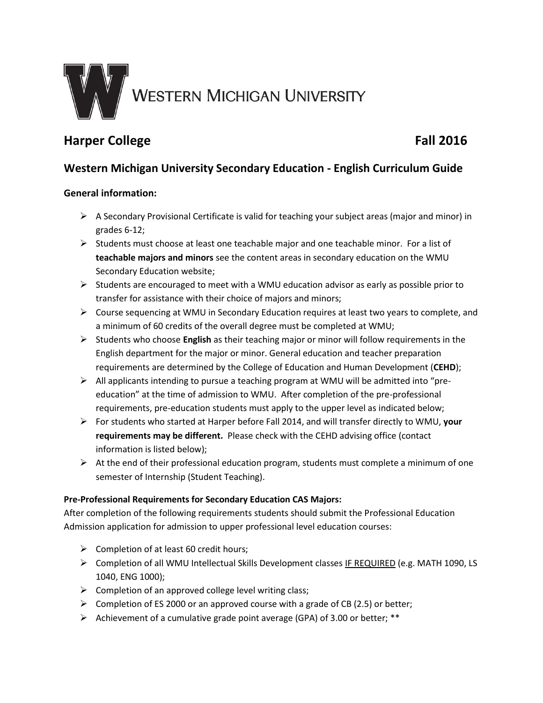

# **Harper College Fall 2016**

## **Western Michigan University Secondary Education - English Curriculum Guide**

### **General information:**

- $\triangleright$  A Secondary Provisional Certificate is valid for teaching your subject areas (major and minor) in grades 6-12;
- $\triangleright$  Students must choose at least one teachable major and one teachable minor. For a list of **teachable majors and minors** see the content areas in secondary education on the WMU Secondary Education website;
- $\triangleright$  Students are encouraged to meet with a WMU education advisor as early as possible prior to transfer for assistance with their choice of majors and minors;
- Course sequencing at WMU in Secondary Education requires at least two years to complete, and a minimum of 60 credits of the overall degree must be completed at WMU;
- Students who choose **English** as their teaching major or minor will follow requirements in the English department for the major or minor. General education and teacher preparation requirements are determined by the College of Education and Human Development (**CEHD**);
- All applicants intending to pursue a teaching program at WMU will be admitted into "preeducation" at the time of admission to WMU. After completion of the pre-professional requirements, pre-education students must apply to the upper level as indicated below;
- For students who started at Harper before Fall 2014, and will transfer directly to WMU, **your requirements may be different.** Please check with the CEHD advising office (contact information is listed below);
- $\triangleright$  At the end of their professional education program, students must complete a minimum of one semester of Internship (Student Teaching).

#### **Pre-Professional Requirements for Secondary Education CAS Majors:**

After completion of the following requirements students should submit the Professional Education Admission application for admission to upper professional level education courses:

- $\triangleright$  Completion of at least 60 credit hours;
- Completion of all WMU Intellectual Skills Development classes IF REQUIRED (e.g. MATH 1090, LS 1040, ENG 1000);
- $\triangleright$  Completion of an approved college level writing class;
- $\triangleright$  Completion of ES 2000 or an approved course with a grade of CB (2.5) or better;
- Achievement of a cumulative grade point average (GPA) of 3.00 or better; \*\*